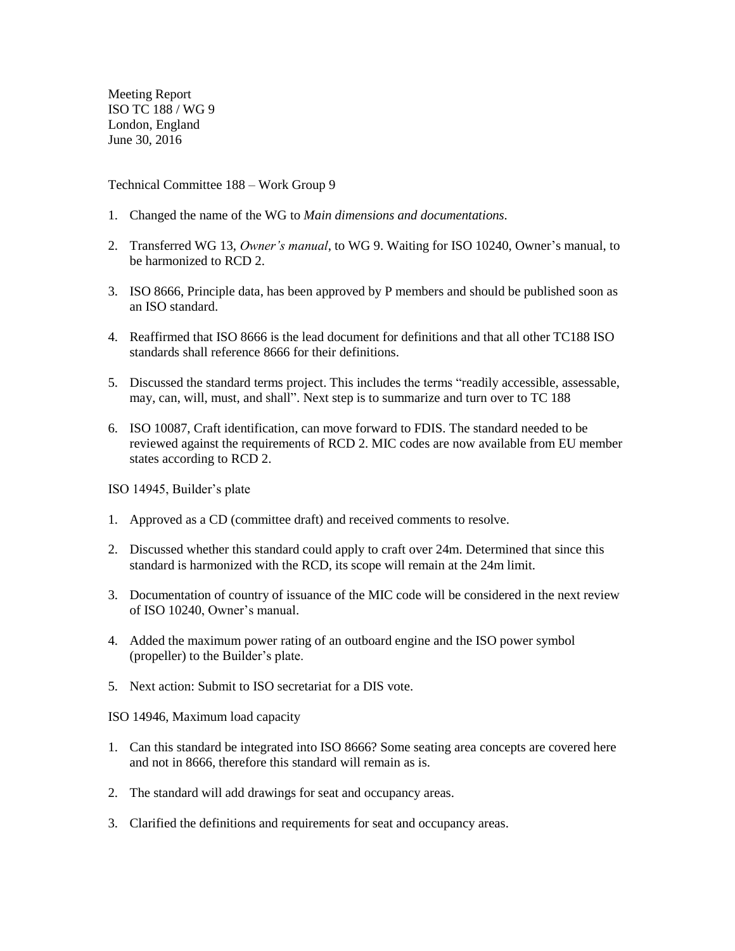Meeting Report ISO TC 188 / WG 9 London, England June 30, 2016

Technical Committee 188 – Work Group 9

- 1. Changed the name of the WG to *Main dimensions and documentations.*
- 2. Transferred WG 13, *Owner's manual*, to WG 9. Waiting for ISO 10240, Owner's manual, to be harmonized to RCD 2.
- 3. ISO 8666, Principle data, has been approved by P members and should be published soon as an ISO standard.
- 4. Reaffirmed that ISO 8666 is the lead document for definitions and that all other TC188 ISO standards shall reference 8666 for their definitions.
- 5. Discussed the standard terms project. This includes the terms "readily accessible, assessable, may, can, will, must, and shall". Next step is to summarize and turn over to TC 188
- 6. ISO 10087, Craft identification, can move forward to FDIS. The standard needed to be reviewed against the requirements of RCD 2. MIC codes are now available from EU member states according to RCD 2.

ISO 14945, Builder's plate

- 1. Approved as a CD (committee draft) and received comments to resolve.
- 2. Discussed whether this standard could apply to craft over 24m. Determined that since this standard is harmonized with the RCD, its scope will remain at the 24m limit.
- 3. Documentation of country of issuance of the MIC code will be considered in the next review of ISO 10240, Owner's manual.
- 4. Added the maximum power rating of an outboard engine and the ISO power symbol (propeller) to the Builder's plate.
- 5. Next action: Submit to ISO secretariat for a DIS vote.

ISO 14946, Maximum load capacity

- 1. Can this standard be integrated into ISO 8666? Some seating area concepts are covered here and not in 8666, therefore this standard will remain as is.
- 2. The standard will add drawings for seat and occupancy areas.
- 3. Clarified the definitions and requirements for seat and occupancy areas.